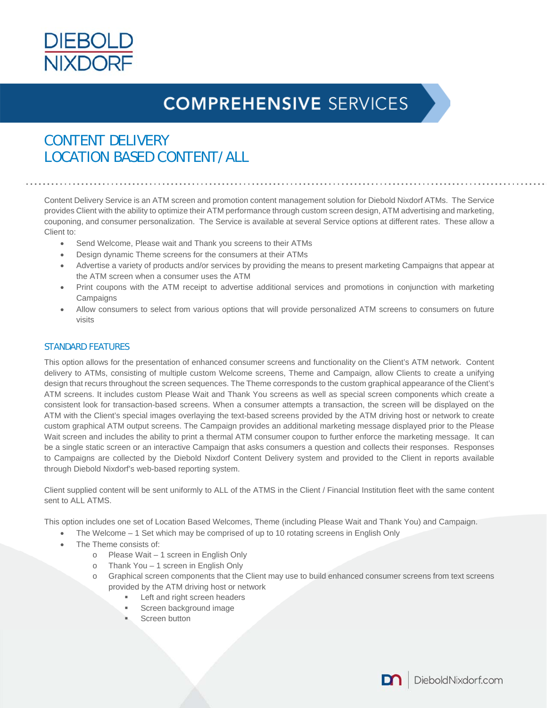

### CONTENT DELIVERY LOCATION BASED CONTENT/ALL

Content Delivery Service is an ATM screen and promotion content management solution for Diebold Nixdorf ATMs. The Service provides Client with the ability to optimize their ATM performance through custom screen design, ATM advertising and marketing, couponing, and consumer personalization. The Service is available at several Service options at different rates. These allow a Client to:

- Send Welcome, Please wait and Thank you screens to their ATMs
- Design dynamic Theme screens for the consumers at their ATMs
- Advertise a variety of products and/or services by providing the means to present marketing Campaigns that appear at the ATM screen when a consumer uses the ATM
- Print coupons with the ATM receipt to advertise additional services and promotions in conjunction with marketing **Campaigns**
- Allow consumers to select from various options that will provide personalized ATM screens to consumers on future visits

#### STANDARD FEATURES

This option allows for the presentation of enhanced consumer screens and functionality on the Client's ATM network. Content delivery to ATMs, consisting of multiple custom Welcome screens, Theme and Campaign, allow Clients to create a unifying design that recurs throughout the screen sequences. The Theme corresponds to the custom graphical appearance of the Client's ATM screens. It includes custom Please Wait and Thank You screens as well as special screen components which create a consistent look for transaction-based screens. When a consumer attempts a transaction, the screen will be displayed on the ATM with the Client's special images overlaying the text-based screens provided by the ATM driving host or network to create custom graphical ATM output screens. The Campaign provides an additional marketing message displayed prior to the Please Wait screen and includes the ability to print a thermal ATM consumer coupon to further enforce the marketing message. It can be a single static screen or an interactive Campaign that asks consumers a question and collects their responses. Responses to Campaigns are collected by the Diebold Nixdorf Content Delivery system and provided to the Client in reports available through Diebold Nixdorf's web-based reporting system.

Client supplied content will be sent uniformly to ALL of the ATMS in the Client / Financial Institution fleet with the same content sent to ALL ATMS.

This option includes one set of Location Based Welcomes, Theme (including Please Wait and Thank You) and Campaign.

- The Welcome 1 Set which may be comprised of up to 10 rotating screens in English Only
- The Theme consists of:
	- o Please Wait 1 screen in English Only
	- o Thank You 1 screen in English Only
	- Graphical screen components that the Client may use to build enhanced consumer screens from text screens provided by the ATM driving host or network
		- Left and right screen headers
		- Screen background image
		- Screen button

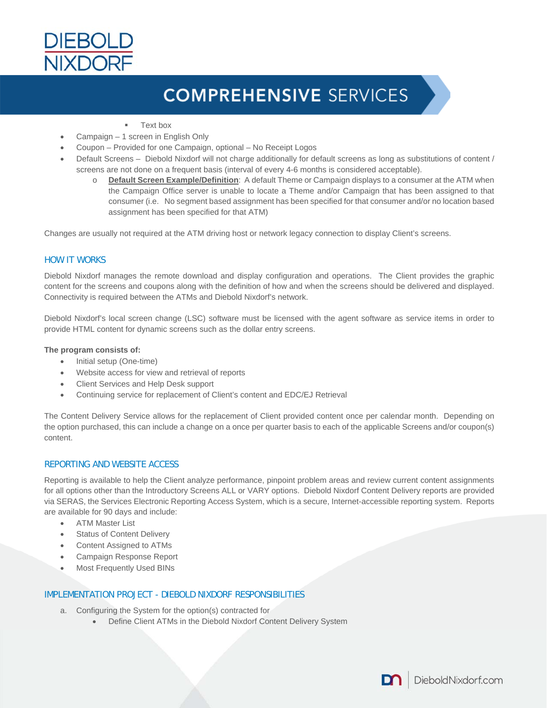

- Text box
- Campaign 1 screen in English Only
- Coupon Provided for one Campaign, optional No Receipt Logos
- Default Screens Diebold Nixdorf will not charge additionally for default screens as long as substitutions of content / screens are not done on a frequent basis (interval of every 4-6 months is considered acceptable).
	- o **Default Screen Example/Definition**: A default Theme or Campaign displays to a consumer at the ATM when the Campaign Office server is unable to locate a Theme and/or Campaign that has been assigned to that consumer (i.e. No segment based assignment has been specified for that consumer and/or no location based assignment has been specified for that ATM)

Changes are usually not required at the ATM driving host or network legacy connection to display Client's screens.

#### HOW IT WORKS

Diebold Nixdorf manages the remote download and display configuration and operations. The Client provides the graphic content for the screens and coupons along with the definition of how and when the screens should be delivered and displayed. Connectivity is required between the ATMs and Diebold Nixdorf's network.

Diebold Nixdorf's local screen change (LSC) software must be licensed with the agent software as service items in order to provide HTML content for dynamic screens such as the dollar entry screens.

#### **The program consists of:**

- Initial setup (One-time)
- Website access for view and retrieval of reports
- Client Services and Help Desk support
- Continuing service for replacement of Client's content and EDC/EJ Retrieval

The Content Delivery Service allows for the replacement of Client provided content once per calendar month. Depending on the option purchased, this can include a change on a once per quarter basis to each of the applicable Screens and/or coupon(s) content.

#### REPORTING AND WEBSITE ACCESS

Reporting is available to help the Client analyze performance, pinpoint problem areas and review current content assignments for all options other than the Introductory Screens ALL or VARY options. Diebold Nixdorf Content Delivery reports are provided via SERAS, the Services Electronic Reporting Access System, which is a secure, Internet-accessible reporting system. Reports are available for 90 days and include:

- ATM Master List
- **•** Status of Content Delivery
- Content Assigned to ATMs
- Campaign Response Report
- Most Frequently Used BINs

#### IMPLEMENTATION PROJECT - DIEBOLD NIXDORF RESPONSIBILITIES

- a. Configuring the System for the option(s) contracted for
	- Define Client ATMs in the Diebold Nixdorf Content Delivery System

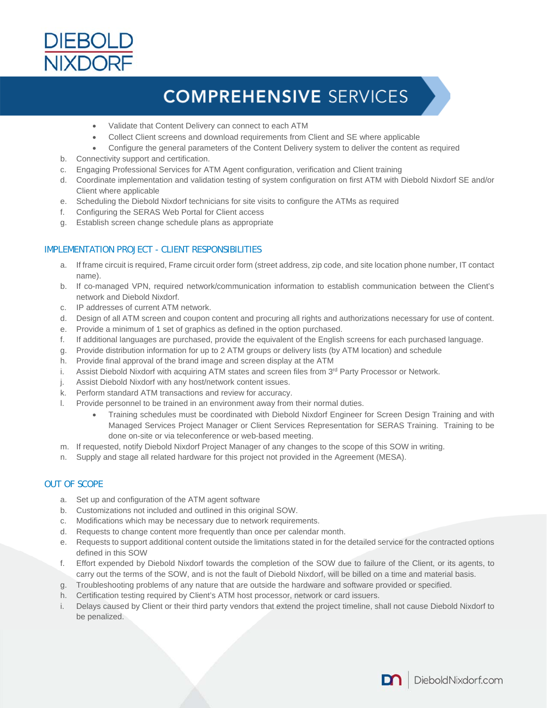

- Validate that Content Delivery can connect to each ATM
- Collect Client screens and download requirements from Client and SE where applicable
- Configure the general parameters of the Content Delivery system to deliver the content as required
- b. Connectivity support and certification.
- c. Engaging Professional Services for ATM Agent configuration, verification and Client training
- d. Coordinate implementation and validation testing of system configuration on first ATM with Diebold Nixdorf SE and/or Client where applicable
- e. Scheduling the Diebold Nixdorf technicians for site visits to configure the ATMs as required
- f. Configuring the SERAS Web Portal for Client access
- g. Establish screen change schedule plans as appropriate

#### IMPLEMENTATION PROJECT - CLIENT RESPONSIBILITIES

- a. If frame circuit is required, Frame circuit order form (street address, zip code, and site location phone number, IT contact name).
- b. If co-managed VPN, required network/communication information to establish communication between the Client's network and Diebold Nixdorf.
- c. IP addresses of current ATM network.
- d. Design of all ATM screen and coupon content and procuring all rights and authorizations necessary for use of content.
- e. Provide a minimum of 1 set of graphics as defined in the option purchased.
- f. If additional languages are purchased, provide the equivalent of the English screens for each purchased language.
- g. Provide distribution information for up to 2 ATM groups or delivery lists (by ATM location) and schedule
- h. Provide final approval of the brand image and screen display at the ATM
- i. Assist Diebold Nixdorf with acquiring ATM states and screen files from 3<sup>rd</sup> Party Processor or Network.
- j. Assist Diebold Nixdorf with any host/network content issues.
- k. Perform standard ATM transactions and review for accuracy.
- l. Provide personnel to be trained in an environment away from their normal duties.
	- Training schedules must be coordinated with Diebold Nixdorf Engineer for Screen Design Training and with Managed Services Project Manager or Client Services Representation for SERAS Training. Training to be done on-site or via teleconference or web-based meeting.
- m. If requested, notify Diebold Nixdorf Project Manager of any changes to the scope of this SOW in writing.
- n. Supply and stage all related hardware for this project not provided in the Agreement (MESA).

#### OUT OF SCOPE

- a. Set up and configuration of the ATM agent software
- b. Customizations not included and outlined in this original SOW.
- c. Modifications which may be necessary due to network requirements.
- d. Requests to change content more frequently than once per calendar month.
- e. Requests to support additional content outside the limitations stated in for the detailed service for the contracted options defined in this SOW
- f. Effort expended by Diebold Nixdorf towards the completion of the SOW due to failure of the Client, or its agents, to carry out the terms of the SOW, and is not the fault of Diebold Nixdorf, will be billed on a time and material basis.
- g. Troubleshooting problems of any nature that are outside the hardware and software provided or specified.
- h. Certification testing required by Client's ATM host processor, network or card issuers.
- i. Delays caused by Client or their third party vendors that extend the project timeline, shall not cause Diebold Nixdorf to be penalized.